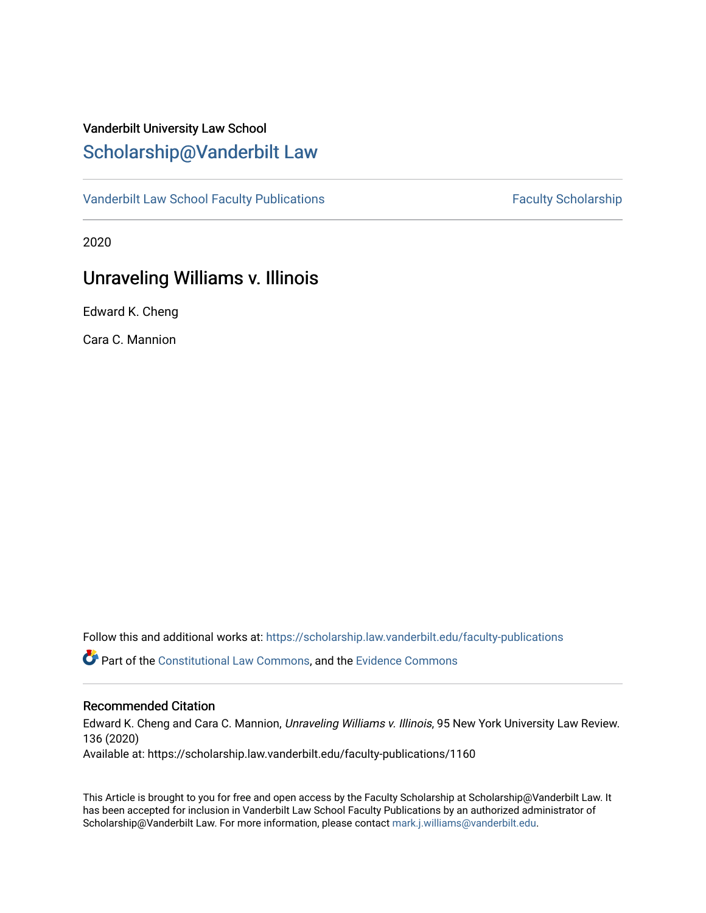# Vanderbilt University Law School [Scholarship@Vanderbilt Law](https://scholarship.law.vanderbilt.edu/)

[Vanderbilt Law School Faculty Publications](https://scholarship.law.vanderbilt.edu/faculty-publications) [Faculty Scholarship](https://scholarship.law.vanderbilt.edu/faculty-scholarship) Faculty Scholarship

2020

# Unraveling Williams v. Illinois

Edward K. Cheng

Cara C. Mannion

Follow this and additional works at: [https://scholarship.law.vanderbilt.edu/faculty-publications](https://scholarship.law.vanderbilt.edu/faculty-publications?utm_source=scholarship.law.vanderbilt.edu%2Ffaculty-publications%2F1160&utm_medium=PDF&utm_campaign=PDFCoverPages) 

**P** Part of the [Constitutional Law Commons,](http://network.bepress.com/hgg/discipline/589?utm_source=scholarship.law.vanderbilt.edu%2Ffaculty-publications%2F1160&utm_medium=PDF&utm_campaign=PDFCoverPages) and the [Evidence Commons](http://network.bepress.com/hgg/discipline/601?utm_source=scholarship.law.vanderbilt.edu%2Ffaculty-publications%2F1160&utm_medium=PDF&utm_campaign=PDFCoverPages)

# Recommended Citation

Edward K. Cheng and Cara C. Mannion, Unraveling Williams v. Illinois, 95 New York University Law Review. 136 (2020)

Available at: https://scholarship.law.vanderbilt.edu/faculty-publications/1160

This Article is brought to you for free and open access by the Faculty Scholarship at Scholarship@Vanderbilt Law. It has been accepted for inclusion in Vanderbilt Law School Faculty Publications by an authorized administrator of Scholarship@Vanderbilt Law. For more information, please contact [mark.j.williams@vanderbilt.edu](mailto:mark.j.williams@vanderbilt.edu).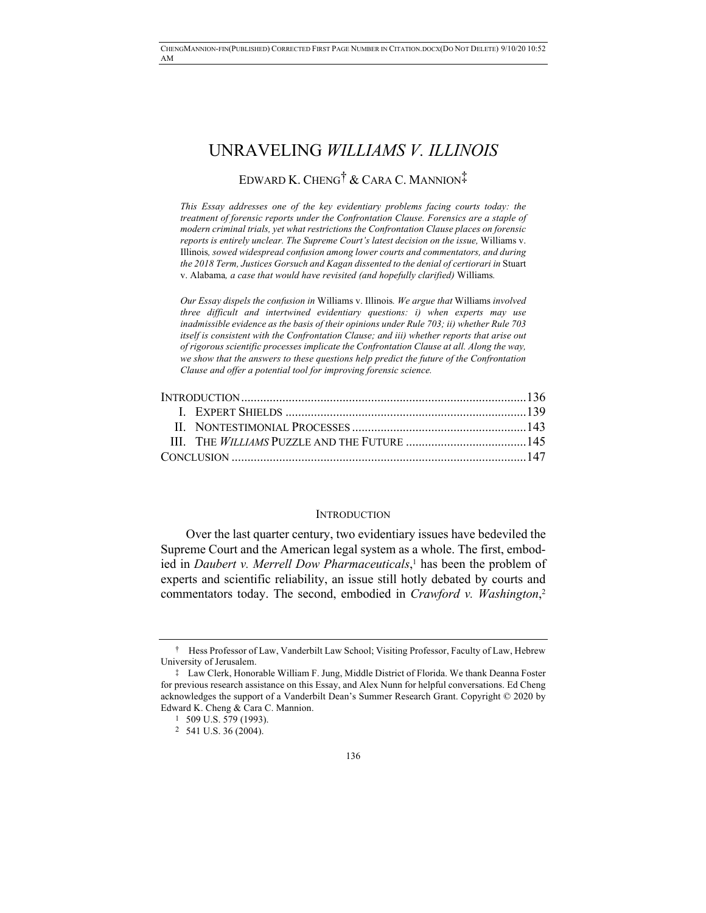# UNRAVELING *WILLIAMS V. ILLINOIS* EDWARD K. CHENG† & CARA C. MANNION‡

*This Essay addresses one of the key evidentiary problems facing courts today: the treatment of forensic reports under the Confrontation Clause. Forensics are a staple of modern criminal trials, yet what restrictions the Confrontation Clause places on forensic reports is entirely unclear. The Supreme Court's latest decision on the issue,* Williams v. Illinois*, sowed widespread confusion among lower courts and commentators, and during the 2018 Term, Justices Gorsuch and Kagan dissented to the denial of certiorari in* Stuart v. Alabama*, a case that would have revisited (and hopefully clarified)* Williams*.*

*Our Essay dispels the confusion in* Williams v. Illinois*. We argue that* Williams *involved three difficult and intertwined evidentiary questions: i) when experts may use inadmissible evidence as the basis of their opinions under Rule 703; ii) whether Rule 703 itself is consistent with the Confrontation Clause; and iii) whether reports that arise out of rigorous scientific processes implicate the Confrontation Clause at all. Along the way, we show that the answers to these questions help predict the future of the Confrontation Clause and offer a potential tool for improving forensic science.*

#### INTRODUCTION

Over the last quarter century, two evidentiary issues have bedeviled the Supreme Court and the American legal system as a whole. The first, embodied in *Daubert v. Merrell Dow Pharmaceuticals*, <sup>1</sup> has been the problem of experts and scientific reliability, an issue still hotly debated by courts and commentators today. The second, embodied in *Crawford v. Washington*, 2

<sup>†</sup> Hess Professor of Law, Vanderbilt Law School; Visiting Professor, Faculty of Law, Hebrew University of Jerusalem.

<sup>‡</sup> Law Clerk, Honorable William F. Jung, Middle District of Florida. We thank Deanna Foster for previous research assistance on this Essay, and Alex Nunn for helpful conversations. Ed Cheng acknowledges the support of a Vanderbilt Dean's Summer Research Grant. Copyright © 2020 by Edward K. Cheng & Cara C. Mannion.

<sup>1</sup> 509 U.S. 579 (1993).

<sup>2</sup> 541 U.S. 36 (2004).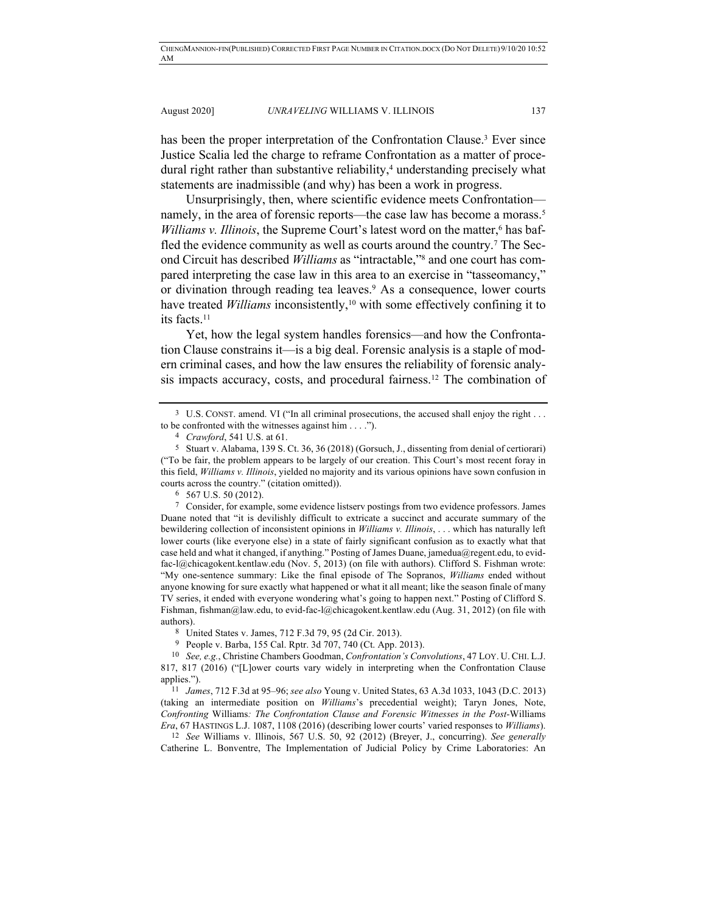has been the proper interpretation of the Confrontation Clause.<sup>3</sup> Ever since Justice Scalia led the charge to reframe Confrontation as a matter of procedural right rather than substantive reliability,<sup>4</sup> understanding precisely what statements are inadmissible (and why) has been a work in progress.

Unsurprisingly, then, where scientific evidence meets Confrontation namely, in the area of forensic reports—the case law has become a morass.<sup>5</sup> *Williams v. Illinois*, the Supreme Court's latest word on the matter,<sup>6</sup> has baffled the evidence community as well as courts around the country.7 The Second Circuit has described *Williams* as "intractable,"8 and one court has compared interpreting the case law in this area to an exercise in "tasseomancy," or divination through reading tea leaves.9 As a consequence, lower courts have treated *Williams* inconsistently,<sup>10</sup> with some effectively confining it to its facts.11

Yet, how the legal system handles forensics—and how the Confrontation Clause constrains it—is a big deal. Forensic analysis is a staple of modern criminal cases, and how the law ensures the reliability of forensic analysis impacts accuracy, costs, and procedural fairness.12 The combination of

6 567 U.S. 50 (2012).

7 Consider, for example, some evidence listserv postings from two evidence professors. James Duane noted that "it is devilishly difficult to extricate a succinct and accurate summary of the bewildering collection of inconsistent opinions in *Williams v. Illinois*, . . . which has naturally left lower courts (like everyone else) in a state of fairly significant confusion as to exactly what that case held and what it changed, if anything." Posting of James Duane, jamedua@regent.edu, to evidfac-l@chicagokent.kentlaw.edu (Nov. 5, 2013) (on file with authors). Clifford S. Fishman wrote: "My one-sentence summary: Like the final episode of The Sopranos, *Williams* ended without anyone knowing for sure exactly what happened or what it all meant; like the season finale of many TV series, it ended with everyone wondering what's going to happen next." Posting of Clifford S. Fishman, fishman@law.edu, to evid-fac-l@chicagokent.kentlaw.edu (Aug. 31, 2012) (on file with authors).

8 United States v. James, 712 F.3d 79, 95 (2d Cir. 2013).

9 People v. Barba, 155 Cal. Rptr. 3d 707, 740 (Ct. App. 2013).

10 *See, e.g.*, Christine Chambers Goodman, *Confrontation's Convolutions*, 47 LOY. U. CHI. L.J. 817, 817 (2016) ("[L]ower courts vary widely in interpreting when the Confrontation Clause applies.").

11 *James*, 712 F.3d at 95–96; *see also* Young v. United States, 63 A.3d 1033, 1043 (D.C. 2013) (taking an intermediate position on *Williams*'s precedential weight); Taryn Jones, Note, *Confronting* Williams*: The Confrontation Clause and Forensic Witnesses in the Post-*Williams *Era*, 67 HASTINGS L.J. 1087, 1108 (2016) (describing lower courts' varied responses to *Williams*).

12 *See* Williams v. Illinois, 567 U.S. 50, 92 (2012) (Breyer, J., concurring). *See generally*  Catherine L. Bonventre, The Implementation of Judicial Policy by Crime Laboratories: An

<sup>&</sup>lt;sup>3</sup> U.S. CONST. amend. VI ("In all criminal prosecutions, the accused shall enjoy the right . . . to be confronted with the witnesses against him . . . .").

<sup>4</sup> *Crawford*, 541 U.S. at 61.

<sup>5</sup> Stuart v. Alabama, 139 S. Ct. 36, 36 (2018) (Gorsuch, J., dissenting from denial of certiorari) ("To be fair, the problem appears to be largely of our creation. This Court's most recent foray in this field, *Williams v. Illinois*, yielded no majority and its various opinions have sown confusion in courts across the country." (citation omitted)).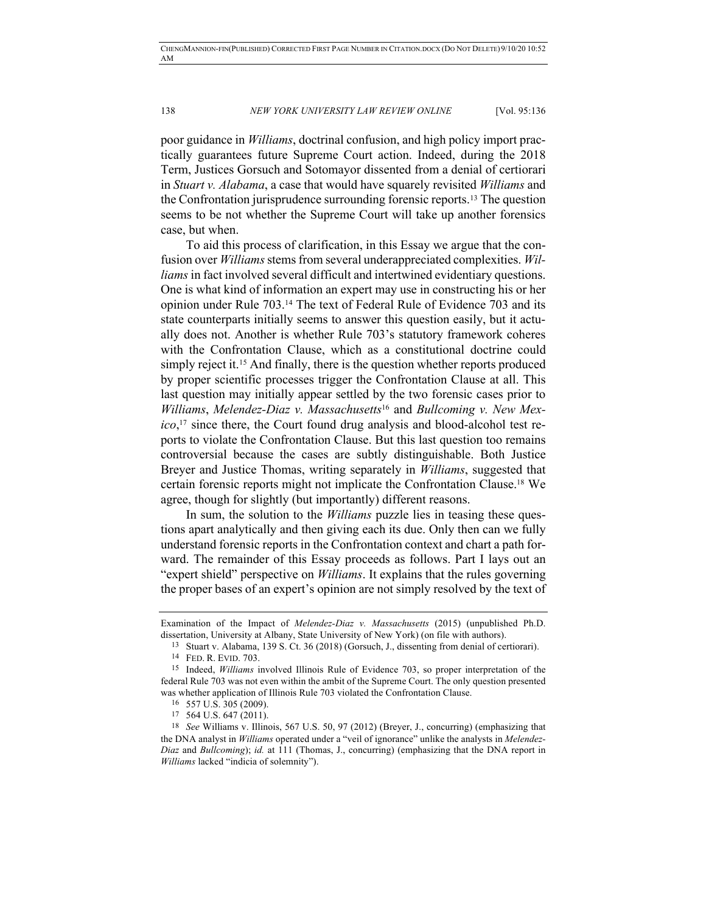poor guidance in *Williams*, doctrinal confusion, and high policy import practically guarantees future Supreme Court action. Indeed, during the 2018 Term, Justices Gorsuch and Sotomayor dissented from a denial of certiorari in *Stuart v. Alabama*, a case that would have squarely revisited *Williams* and the Confrontation jurisprudence surrounding forensic reports.13 The question seems to be not whether the Supreme Court will take up another forensics case, but when.

To aid this process of clarification, in this Essay we argue that the confusion over *Williams* stems from several underappreciated complexities. *Williams* in fact involved several difficult and intertwined evidentiary questions. One is what kind of information an expert may use in constructing his or her opinion under Rule 703.14 The text of Federal Rule of Evidence 703 and its state counterparts initially seems to answer this question easily, but it actually does not. Another is whether Rule 703's statutory framework coheres with the Confrontation Clause, which as a constitutional doctrine could simply reject it.<sup>15</sup> And finally, there is the question whether reports produced by proper scientific processes trigger the Confrontation Clause at all. This last question may initially appear settled by the two forensic cases prior to *Williams*, *Melendez-Diaz v. Massachusetts*<sup>16</sup> and *Bullcoming v. New Mexico*, <sup>17</sup> since there, the Court found drug analysis and blood-alcohol test reports to violate the Confrontation Clause. But this last question too remains controversial because the cases are subtly distinguishable. Both Justice Breyer and Justice Thomas, writing separately in *Williams*, suggested that certain forensic reports might not implicate the Confrontation Clause.18 We agree, though for slightly (but importantly) different reasons.

In sum, the solution to the *Williams* puzzle lies in teasing these questions apart analytically and then giving each its due. Only then can we fully understand forensic reports in the Confrontation context and chart a path forward. The remainder of this Essay proceeds as follows. Part I lays out an "expert shield" perspective on *Williams*. It explains that the rules governing the proper bases of an expert's opinion are not simply resolved by the text of

Examination of the Impact of *Melendez-Diaz v. Massachusetts* (2015) (unpublished Ph.D. dissertation, University at Albany, State University of New York) (on file with authors).

<sup>13</sup> Stuart v. Alabama, 139 S. Ct. 36 (2018) (Gorsuch, J., dissenting from denial of certiorari).

<sup>14</sup> FED. R. EVID. 703.

<sup>15</sup> Indeed, *Williams* involved Illinois Rule of Evidence 703, so proper interpretation of the federal Rule 703 was not even within the ambit of the Supreme Court. The only question presented was whether application of Illinois Rule 703 violated the Confrontation Clause. 16 557 U.S. 305 (2009).

<sup>17</sup> 564 U.S. 647 (2011).

<sup>18</sup> *See* Williams v. Illinois, 567 U.S. 50, 97 (2012) (Breyer, J., concurring) (emphasizing that the DNA analyst in *Williams* operated under a "veil of ignorance" unlike the analysts in *Melendez-Diaz* and *Bullcoming*); *id.* at 111 (Thomas, J., concurring) (emphasizing that the DNA report in *Williams* lacked "indicia of solemnity").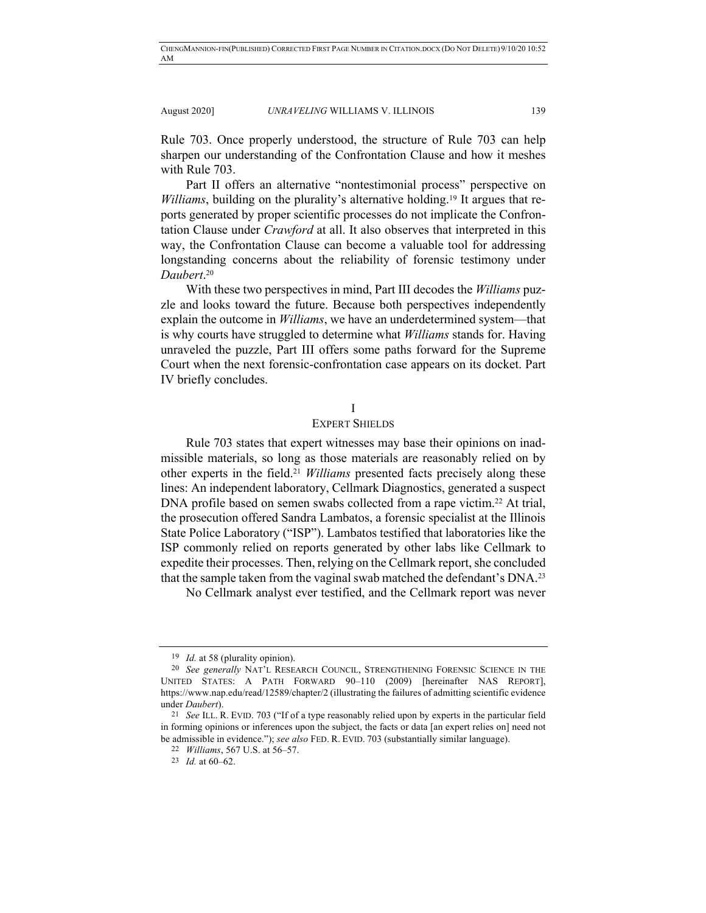Rule 703. Once properly understood, the structure of Rule 703 can help sharpen our understanding of the Confrontation Clause and how it meshes with Rule 703.

Part II offers an alternative "nontestimonial process" perspective on *Williams*, building on the plurality's alternative holding.<sup>19</sup> It argues that reports generated by proper scientific processes do not implicate the Confrontation Clause under *Crawford* at all. It also observes that interpreted in this way, the Confrontation Clause can become a valuable tool for addressing longstanding concerns about the reliability of forensic testimony under *Daubert*. 20

With these two perspectives in mind, Part III decodes the *Williams* puzzle and looks toward the future. Because both perspectives independently explain the outcome in *Williams*, we have an underdetermined system—that is why courts have struggled to determine what *Williams* stands for. Having unraveled the puzzle, Part III offers some paths forward for the Supreme Court when the next forensic-confrontation case appears on its docket. Part IV briefly concludes.

## I

## EXPERT SHIELDS

Rule 703 states that expert witnesses may base their opinions on inadmissible materials, so long as those materials are reasonably relied on by other experts in the field.21 *Williams* presented facts precisely along these lines: An independent laboratory, Cellmark Diagnostics, generated a suspect DNA profile based on semen swabs collected from a rape victim. <sup>22</sup> At trial, the prosecution offered Sandra Lambatos, a forensic specialist at the Illinois State Police Laboratory ("ISP"). Lambatos testified that laboratories like the ISP commonly relied on reports generated by other labs like Cellmark to expedite their processes. Then, relying on the Cellmark report, she concluded that the sample taken from the vaginal swab matched the defendant's DNA.23

No Cellmark analyst ever testified, and the Cellmark report was never

<sup>19</sup> *Id.* at 58 (plurality opinion).

<sup>20</sup> *See generally* NAT'L RESEARCH COUNCIL, STRENGTHENING FORENSIC SCIENCE IN THE UNITED STATES: A PATH FORWARD 90–110 (2009) [hereinafter NAS REPORT], https://www.nap.edu/read/12589/chapter/2 (illustrating the failures of admitting scientific evidence under *Daubert*).

<sup>21</sup> *See* ILL. R. EVID. 703 ("If of a type reasonably relied upon by experts in the particular field in forming opinions or inferences upon the subject, the facts or data [an expert relies on] need not be admissible in evidence."); *see also* FED. R. EVID. 703 (substantially similar language).

<sup>22</sup> *Williams*, 567 U.S. at 56–57.

<sup>23</sup> *Id.* at 60–62.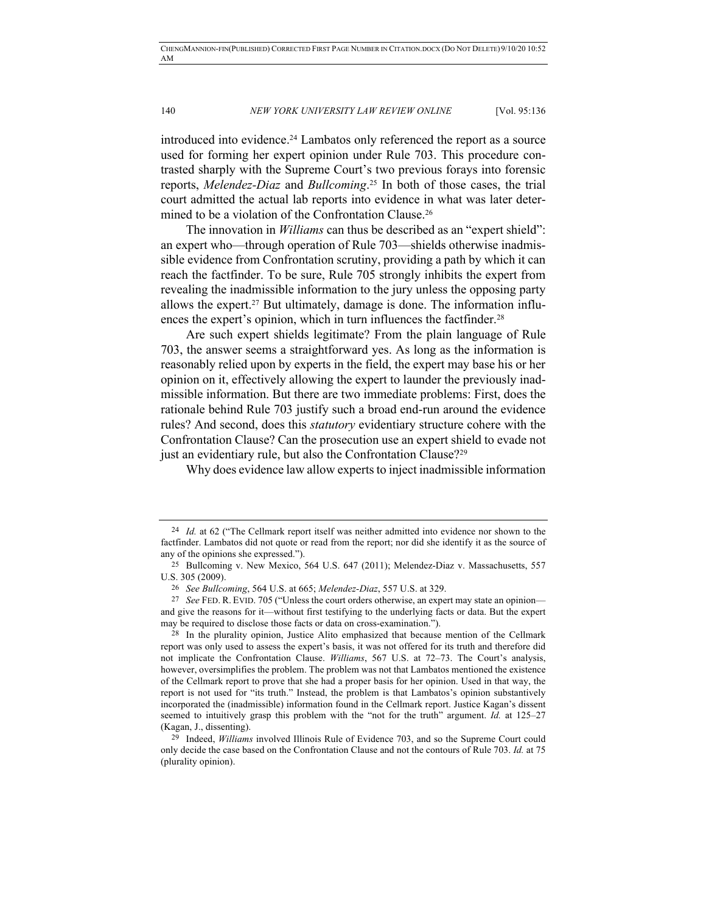introduced into evidence. <sup>24</sup> Lambatos only referenced the report as a source used for forming her expert opinion under Rule 703. This procedure contrasted sharply with the Supreme Court's two previous forays into forensic reports, *Melendez-Diaz* and *Bullcoming*. <sup>25</sup> In both of those cases, the trial court admitted the actual lab reports into evidence in what was later determined to be a violation of the Confrontation Clause.<sup>26</sup>

The innovation in *Williams* can thus be described as an "expert shield": an expert who—through operation of Rule 703—shields otherwise inadmissible evidence from Confrontation scrutiny, providing a path by which it can reach the factfinder. To be sure, Rule 705 strongly inhibits the expert from revealing the inadmissible information to the jury unless the opposing party allows the expert.<sup>27</sup> But ultimately, damage is done. The information influences the expert's opinion, which in turn influences the factfinder.<sup>28</sup>

Are such expert shields legitimate? From the plain language of Rule 703, the answer seems a straightforward yes. As long as the information is reasonably relied upon by experts in the field, the expert may base his or her opinion on it, effectively allowing the expert to launder the previously inadmissible information. But there are two immediate problems: First, does the rationale behind Rule 703 justify such a broad end-run around the evidence rules? And second, does this *statutory* evidentiary structure cohere with the Confrontation Clause? Can the prosecution use an expert shield to evade not just an evidentiary rule, but also the Confrontation Clause?<sup>29</sup>

Why does evidence law allow experts to inject inadmissible information

<sup>24</sup> *Id.* at 62 ("The Cellmark report itself was neither admitted into evidence nor shown to the factfinder. Lambatos did not quote or read from the report; nor did she identify it as the source of any of the opinions she expressed.").

<sup>25</sup> Bullcoming v. New Mexico, 564 U.S. 647 (2011); Melendez-Diaz v. Massachusetts, 557 U.S. 305 (2009).

<sup>26</sup> *See Bullcoming*, 564 U.S. at 665; *Melendez-Diaz*, 557 U.S. at 329.

<sup>27</sup> *See* FED. R. EVID. 705 ("Unless the court orders otherwise, an expert may state an opinion and give the reasons for it—without first testifying to the underlying facts or data. But the expert may be required to disclose those facts or data on cross-examination.").

<sup>28</sup> In the plurality opinion, Justice Alito emphasized that because mention of the Cellmark report was only used to assess the expert's basis, it was not offered for its truth and therefore did not implicate the Confrontation Clause. *Williams*, 567 U.S. at 72–73. The Court's analysis, however, oversimplifies the problem. The problem was not that Lambatos mentioned the existence of the Cellmark report to prove that she had a proper basis for her opinion. Used in that way, the report is not used for "its truth." Instead, the problem is that Lambatos's opinion substantively incorporated the (inadmissible) information found in the Cellmark report. Justice Kagan's dissent seemed to intuitively grasp this problem with the "not for the truth" argument. *Id.* at 125–27 (Kagan, J., dissenting).

<sup>29</sup> Indeed, *Williams* involved Illinois Rule of Evidence 703, and so the Supreme Court could only decide the case based on the Confrontation Clause and not the contours of Rule 703. *Id.* at 75 (plurality opinion).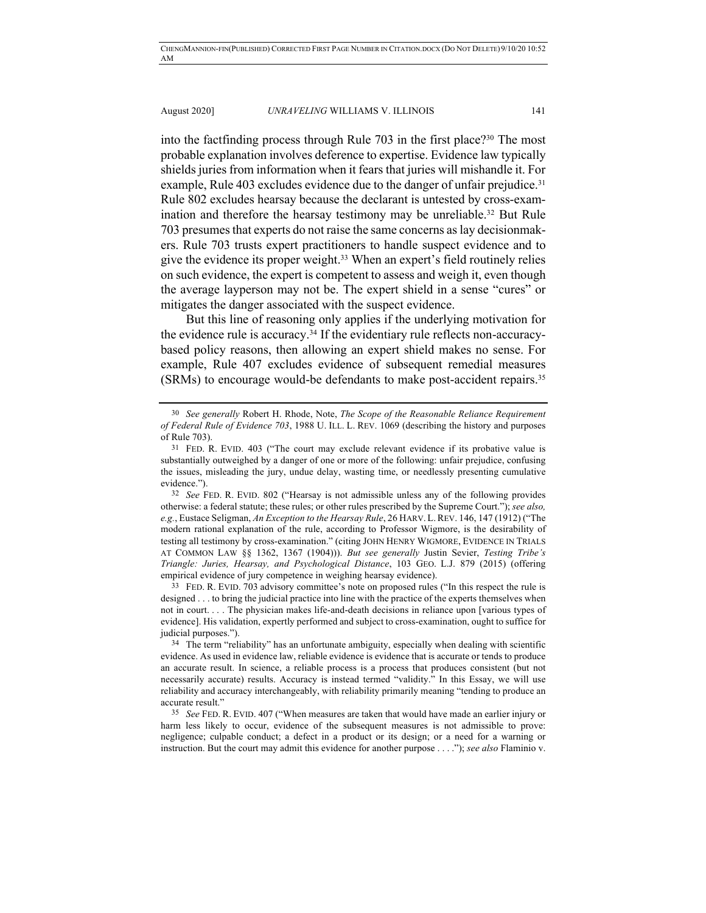into the factfinding process through Rule 703 in the first place?30 The most probable explanation involves deference to expertise. Evidence law typically shields juries from information when it fears that juries will mishandle it. For example, Rule 403 excludes evidence due to the danger of unfair prejudice.<sup>31</sup> Rule 802 excludes hearsay because the declarant is untested by cross-examination and therefore the hearsay testimony may be unreliable.<sup>32</sup> But Rule 703 presumes that experts do not raise the same concerns as lay decisionmakers. Rule 703 trusts expert practitioners to handle suspect evidence and to give the evidence its proper weight.33 When an expert's field routinely relies on such evidence, the expert is competent to assess and weigh it, even though the average layperson may not be. The expert shield in a sense "cures" or mitigates the danger associated with the suspect evidence.

But this line of reasoning only applies if the underlying motivation for the evidence rule is accuracy.34 If the evidentiary rule reflects non-accuracybased policy reasons, then allowing an expert shield makes no sense. For example, Rule 407 excludes evidence of subsequent remedial measures (SRMs) to encourage would-be defendants to make post-accident repairs.35

<sup>30</sup> *See generally* Robert H. Rhode, Note, *The Scope of the Reasonable Reliance Requirement of Federal Rule of Evidence 703*, 1988 U. ILL. L. REV. 1069 (describing the history and purposes of Rule 703).

<sup>31</sup> FED. R. EVID. 403 ("The court may exclude relevant evidence if its probative value is substantially outweighed by a danger of one or more of the following: unfair prejudice, confusing the issues, misleading the jury, undue delay, wasting time, or needlessly presenting cumulative evidence.").

<sup>32</sup> *See* FED. R. EVID. 802 ("Hearsay is not admissible unless any of the following provides otherwise: a federal statute; these rules; or other rules prescribed by the Supreme Court."); *see also, e.g.*, Eustace Seligman, *An Exception to the Hearsay Rule*, 26 HARV. L.REV. 146, 147 (1912) ("The modern rational explanation of the rule, according to Professor Wigmore, is the desirability of testing all testimony by cross-examination." (citing JOHN HENRY WIGMORE, EVIDENCE IN TRIALS AT COMMON LAW §§ 1362, 1367 (1904))). *But see generally* Justin Sevier, *Testing Tribe's Triangle: Juries, Hearsay, and Psychological Distance*, 103 GEO. L.J. 879 (2015) (offering empirical evidence of jury competence in weighing hearsay evidence).

<sup>33</sup> FED. R. EVID. 703 advisory committee's note on proposed rules ("In this respect the rule is designed . . . to bring the judicial practice into line with the practice of the experts themselves when not in court. . . . The physician makes life-and-death decisions in reliance upon [various types of evidence]. His validation, expertly performed and subject to cross-examination, ought to suffice for judicial purposes.").

<sup>&</sup>lt;sup>34</sup> The term "reliability" has an unfortunate ambiguity, especially when dealing with scientific evidence. As used in evidence law, reliable evidence is evidence that is accurate or tends to produce an accurate result. In science, a reliable process is a process that produces consistent (but not necessarily accurate) results. Accuracy is instead termed "validity." In this Essay, we will use reliability and accuracy interchangeably, with reliability primarily meaning "tending to produce an accurate result."

<sup>35</sup> *See* FED. R. EVID. 407 ("When measures are taken that would have made an earlier injury or harm less likely to occur, evidence of the subsequent measures is not admissible to prove: negligence; culpable conduct; a defect in a product or its design; or a need for a warning or instruction. But the court may admit this evidence for another purpose . . . ."); *see also* Flaminio v.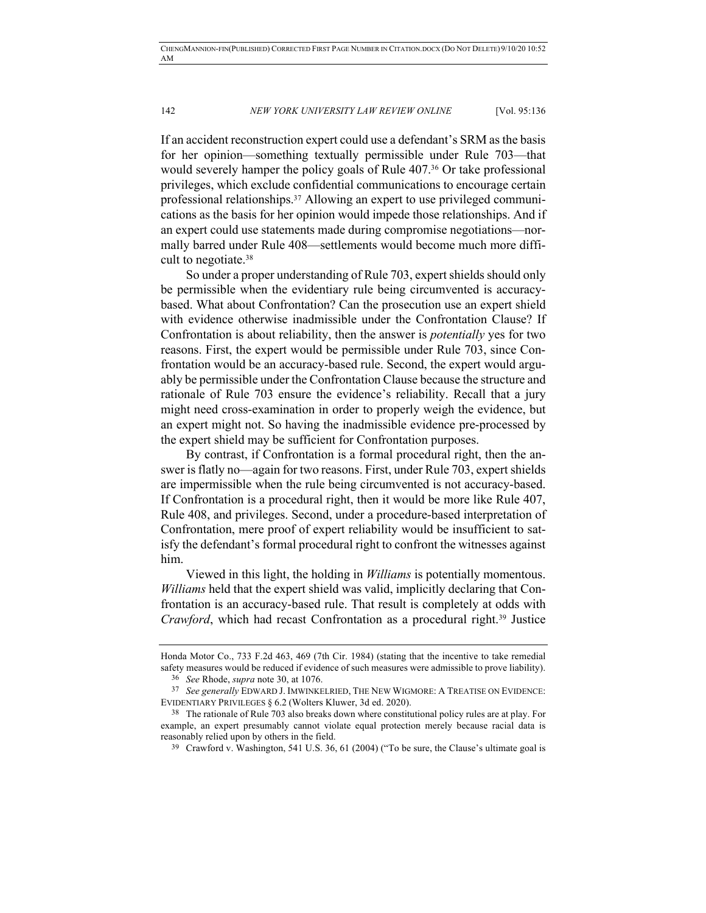If an accident reconstruction expert could use a defendant's SRM as the basis for her opinion—something textually permissible under Rule 703—that would severely hamper the policy goals of Rule 407.36 Or take professional privileges, which exclude confidential communications to encourage certain professional relationships.37 Allowing an expert to use privileged communications as the basis for her opinion would impede those relationships. And if an expert could use statements made during compromise negotiations—normally barred under Rule 408—settlements would become much more difficult to negotiate.38

So under a proper understanding of Rule 703, expert shields should only be permissible when the evidentiary rule being circumvented is accuracybased. What about Confrontation? Can the prosecution use an expert shield with evidence otherwise inadmissible under the Confrontation Clause? If Confrontation is about reliability, then the answer is *potentially* yes for two reasons. First, the expert would be permissible under Rule 703, since Confrontation would be an accuracy-based rule. Second, the expert would arguably be permissible under the Confrontation Clause because the structure and rationale of Rule 703 ensure the evidence's reliability. Recall that a jury might need cross-examination in order to properly weigh the evidence, but an expert might not. So having the inadmissible evidence pre-processed by the expert shield may be sufficient for Confrontation purposes.

By contrast, if Confrontation is a formal procedural right, then the answer is flatly no—again for two reasons. First, under Rule 703, expert shields are impermissible when the rule being circumvented is not accuracy-based. If Confrontation is a procedural right, then it would be more like Rule 407, Rule 408, and privileges. Second, under a procedure-based interpretation of Confrontation, mere proof of expert reliability would be insufficient to satisfy the defendant's formal procedural right to confront the witnesses against him.

Viewed in this light, the holding in *Williams* is potentially momentous. *Williams* held that the expert shield was valid, implicitly declaring that Confrontation is an accuracy-based rule. That result is completely at odds with *Crawford*, which had recast Confrontation as a procedural right.39 Justice

Honda Motor Co., 733 F.2d 463, 469 (7th Cir. 1984) (stating that the incentive to take remedial safety measures would be reduced if evidence of such measures were admissible to prove liability). 36 *See* Rhode, *supra* note 30, at 1076.

<sup>37</sup> *See generally* EDWARD J. IMWINKELRIED, THE NEW WIGMORE: A TREATISE ON EVIDENCE: EVIDENTIARY PRIVILEGES § 6.2 (Wolters Kluwer, 3d ed. 2020).

<sup>38</sup> The rationale of Rule 703 also breaks down where constitutional policy rules are at play. For example, an expert presumably cannot violate equal protection merely because racial data is reasonably relied upon by others in the field.

<sup>39</sup> Crawford v. Washington, 541 U.S. 36, 61 (2004) ("To be sure, the Clause's ultimate goal is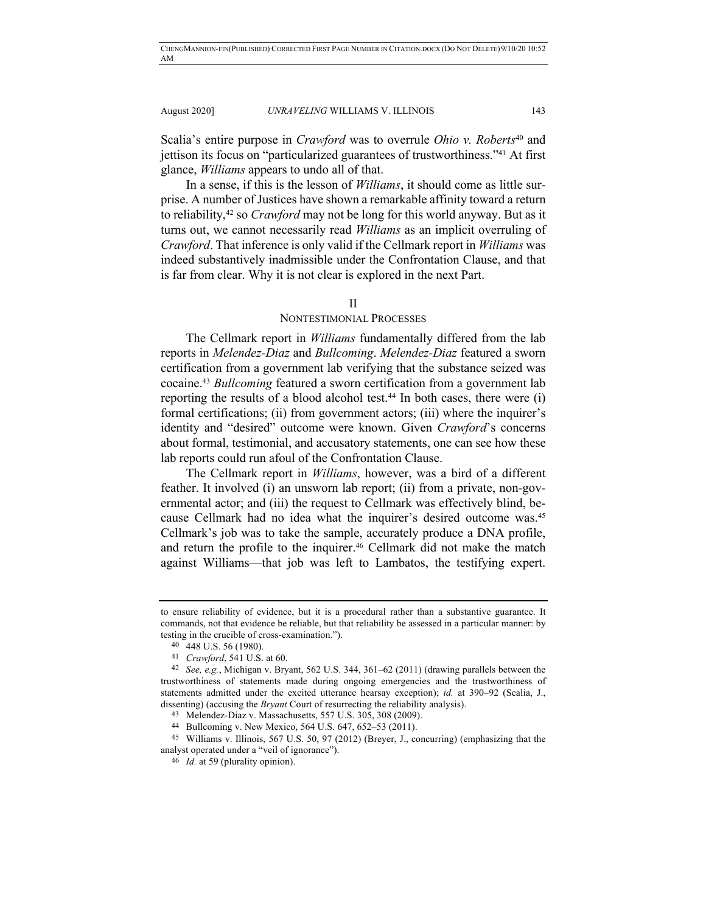Scalia's entire purpose in *Crawford* was to overrule *Ohio v. Roberts*<sup>40</sup> and jettison its focus on "particularized guarantees of trustworthiness."41 At first glance, *Williams* appears to undo all of that.

In a sense, if this is the lesson of *Williams*, it should come as little surprise. A number of Justices have shown a remarkable affinity toward a return to reliability,42 so *Crawford* may not be long for this world anyway. But as it turns out, we cannot necessarily read *Williams* as an implicit overruling of *Crawford*. That inference is only valid if the Cellmark report in *Williams* was indeed substantively inadmissible under the Confrontation Clause, and that is far from clear. Why it is not clear is explored in the next Part.

#### II

## NONTESTIMONIAL PROCESSES

The Cellmark report in *Williams* fundamentally differed from the lab reports in *Melendez-Diaz* and *Bullcoming*. *Melendez-Diaz* featured a sworn certification from a government lab verifying that the substance seized was cocaine.43 *Bullcoming* featured a sworn certification from a government lab reporting the results of a blood alcohol test.44 In both cases, there were (i) formal certifications; (ii) from government actors; (iii) where the inquirer's identity and "desired" outcome were known. Given *Crawford*'s concerns about formal, testimonial, and accusatory statements, one can see how these lab reports could run afoul of the Confrontation Clause.

The Cellmark report in *Williams*, however, was a bird of a different feather. It involved (i) an unsworn lab report; (ii) from a private, non-governmental actor; and (iii) the request to Cellmark was effectively blind, because Cellmark had no idea what the inquirer's desired outcome was.45 Cellmark's job was to take the sample, accurately produce a DNA profile, and return the profile to the inquirer.<sup>46</sup> Cellmark did not make the match against Williams—that job was left to Lambatos, the testifying expert.

to ensure reliability of evidence, but it is a procedural rather than a substantive guarantee. It commands, not that evidence be reliable, but that reliability be assessed in a particular manner: by testing in the crucible of cross-examination.").

<sup>40</sup> 448 U.S. 56 (1980).

<sup>41</sup> *Crawford*, 541 U.S. at 60.

<sup>42</sup> *See, e.g.*, Michigan v. Bryant, 562 U.S. 344, 361–62 (2011) (drawing parallels between the trustworthiness of statements made during ongoing emergencies and the trustworthiness of statements admitted under the excited utterance hearsay exception); *id.* at 390–92 (Scalia, J., dissenting) (accusing the *Bryant* Court of resurrecting the reliability analysis).

<sup>43</sup> Melendez-Diaz v. Massachusetts, 557 U.S. 305, 308 (2009).

<sup>44</sup> Bullcoming v. New Mexico, 564 U.S. 647, 652–53 (2011).

<sup>45</sup> Williams v. Illinois, 567 U.S. 50, 97 (2012) (Breyer, J., concurring) (emphasizing that the analyst operated under a "veil of ignorance").

<sup>46</sup> *Id.* at 59 (plurality opinion).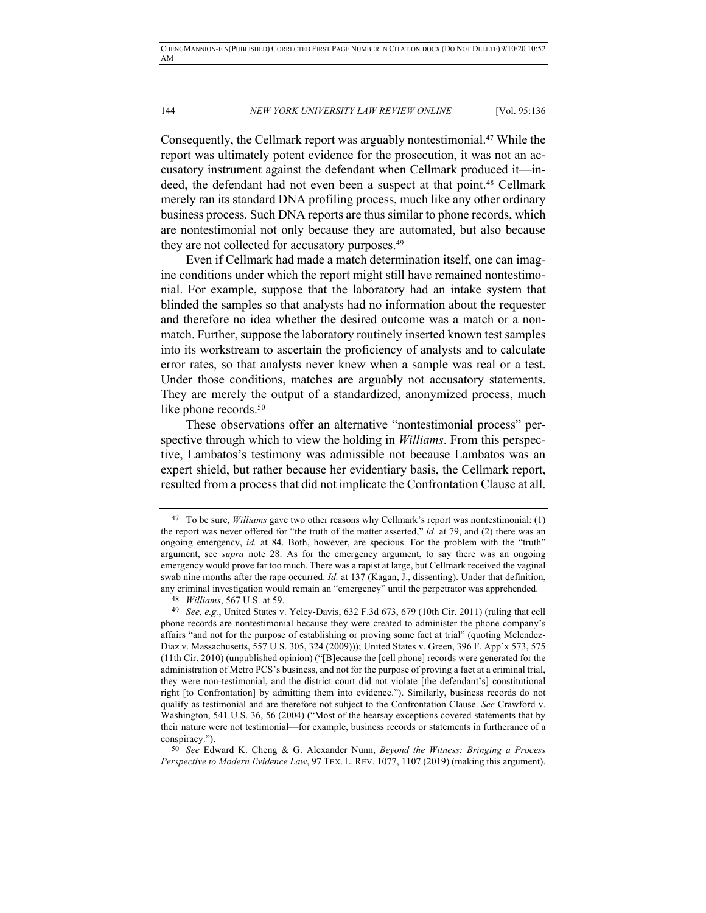Consequently, the Cellmark report was arguably nontestimonial.47 While the report was ultimately potent evidence for the prosecution, it was not an accusatory instrument against the defendant when Cellmark produced it—indeed, the defendant had not even been a suspect at that point.48 Cellmark merely ran its standard DNA profiling process, much like any other ordinary business process. Such DNA reports are thus similar to phone records, which are nontestimonial not only because they are automated, but also because they are not collected for accusatory purposes.49

Even if Cellmark had made a match determination itself, one can imagine conditions under which the report might still have remained nontestimonial. For example, suppose that the laboratory had an intake system that blinded the samples so that analysts had no information about the requester and therefore no idea whether the desired outcome was a match or a nonmatch. Further, suppose the laboratory routinely inserted known test samples into its workstream to ascertain the proficiency of analysts and to calculate error rates, so that analysts never knew when a sample was real or a test. Under those conditions, matches are arguably not accusatory statements. They are merely the output of a standardized, anonymized process, much like phone records.<sup>50</sup>

These observations offer an alternative "nontestimonial process" perspective through which to view the holding in *Williams*. From this perspective, Lambatos's testimony was admissible not because Lambatos was an expert shield, but rather because her evidentiary basis, the Cellmark report, resulted from a process that did not implicate the Confrontation Clause at all.

50 *See* Edward K. Cheng & G. Alexander Nunn, *Beyond the Witness: Bringing a Process Perspective to Modern Evidence Law*, 97 TEX. L. REV. 1077, 1107 (2019) (making this argument).

<sup>47</sup> To be sure, *Williams* gave two other reasons why Cellmark's report was nontestimonial: (1) the report was never offered for "the truth of the matter asserted," *id.* at 79, and (2) there was an ongoing emergency, *id.* at 84. Both, however, are specious. For the problem with the "truth" argument, see *supra* note 28. As for the emergency argument, to say there was an ongoing emergency would prove far too much. There was a rapist at large, but Cellmark received the vaginal swab nine months after the rape occurred. *Id.* at 137 (Kagan, J., dissenting). Under that definition, any criminal investigation would remain an "emergency" until the perpetrator was apprehended.

<sup>48</sup> *Williams*, 567 U.S. at 59.

<sup>49</sup> *See, e.g.*, United States v. Yeley-Davis, 632 F.3d 673, 679 (10th Cir. 2011) (ruling that cell phone records are nontestimonial because they were created to administer the phone company's affairs "and not for the purpose of establishing or proving some fact at trial" (quoting Melendez-Diaz v. Massachusetts, 557 U.S. 305, 324 (2009))); United States v. Green, 396 F. App'x 573, 575 (11th Cir. 2010) (unpublished opinion) ("[B]ecause the [cell phone] records were generated for the administration of Metro PCS's business, and not for the purpose of proving a fact at a criminal trial, they were non-testimonial, and the district court did not violate [the defendant's] constitutional right [to Confrontation] by admitting them into evidence."). Similarly, business records do not qualify as testimonial and are therefore not subject to the Confrontation Clause. *See* Crawford v. Washington, 541 U.S. 36, 56 (2004) ("Most of the hearsay exceptions covered statements that by their nature were not testimonial—for example, business records or statements in furtherance of a conspiracy.").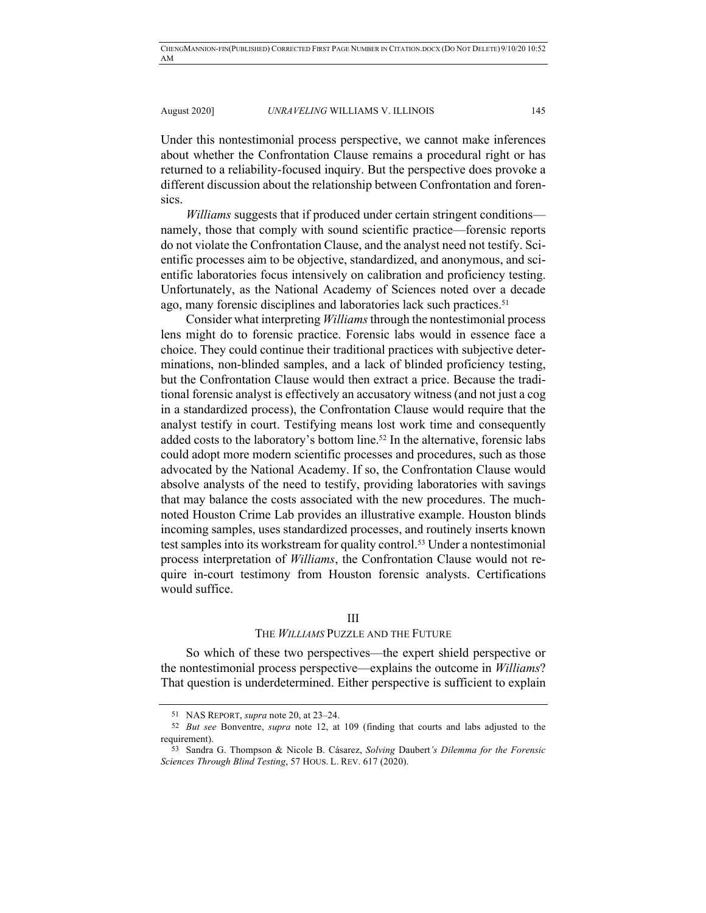Under this nontestimonial process perspective, we cannot make inferences about whether the Confrontation Clause remains a procedural right or has returned to a reliability-focused inquiry. But the perspective does provoke a different discussion about the relationship between Confrontation and forensics.

*Williams* suggests that if produced under certain stringent conditions namely, those that comply with sound scientific practice—forensic reports do not violate the Confrontation Clause, and the analyst need not testify. Scientific processes aim to be objective, standardized, and anonymous, and scientific laboratories focus intensively on calibration and proficiency testing. Unfortunately, as the National Academy of Sciences noted over a decade ago, many forensic disciplines and laboratories lack such practices.<sup>51</sup>

Consider what interpreting *Williams*through the nontestimonial process lens might do to forensic practice. Forensic labs would in essence face a choice. They could continue their traditional practices with subjective determinations, non-blinded samples, and a lack of blinded proficiency testing, but the Confrontation Clause would then extract a price. Because the traditional forensic analyst is effectively an accusatory witness (and not just a cog in a standardized process), the Confrontation Clause would require that the analyst testify in court. Testifying means lost work time and consequently added costs to the laboratory's bottom line.52 In the alternative, forensic labs could adopt more modern scientific processes and procedures, such as those advocated by the National Academy. If so, the Confrontation Clause would absolve analysts of the need to testify, providing laboratories with savings that may balance the costs associated with the new procedures. The muchnoted Houston Crime Lab provides an illustrative example. Houston blinds incoming samples, uses standardized processes, and routinely inserts known test samples into its workstream for quality control.53 Under a nontestimonial process interpretation of *Williams*, the Confrontation Clause would not require in-court testimony from Houston forensic analysts. Certifications would suffice.

#### III

## THE *WILLIAMS* PUZZLE AND THE FUTURE

So which of these two perspectives—the expert shield perspective or the nontestimonial process perspective—explains the outcome in *Williams*? That question is underdetermined. Either perspective is sufficient to explain

<sup>51</sup> NAS REPORT, *supra* note 20, at 23–24.

<sup>52</sup> *But see* Bonventre, *supra* note 12, at 109 (finding that courts and labs adjusted to the requirement).

<sup>53</sup> Sandra G. Thompson & Nicole B. Cásarez, *Solving* Daubert*'s Dilemma for the Forensic Sciences Through Blind Testing*, 57 HOUS. L. REV. 617 (2020).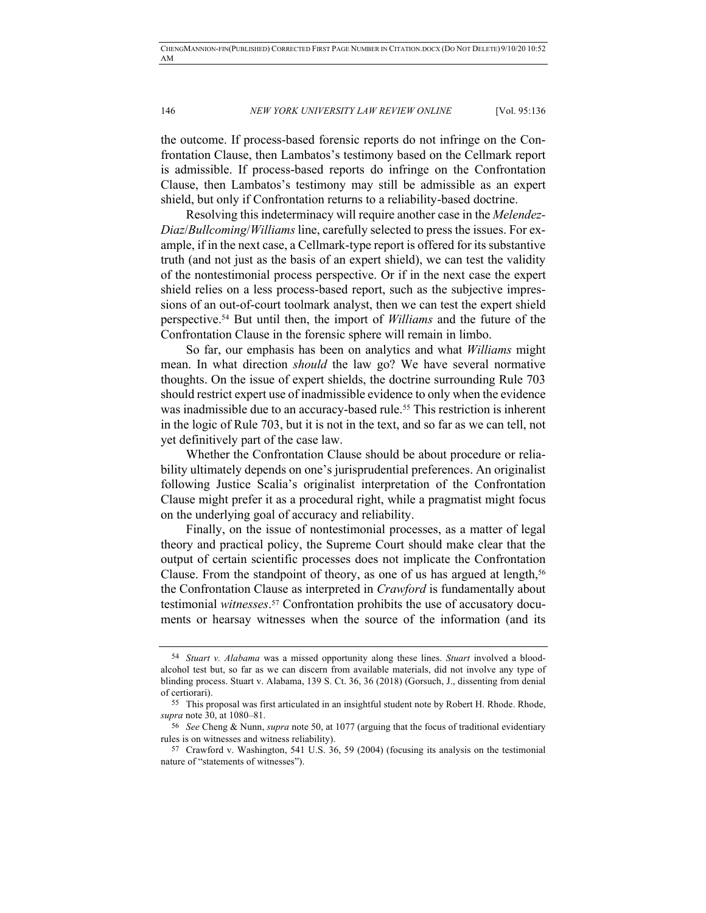the outcome. If process-based forensic reports do not infringe on the Confrontation Clause, then Lambatos's testimony based on the Cellmark report is admissible. If process-based reports do infringe on the Confrontation Clause, then Lambatos's testimony may still be admissible as an expert shield, but only if Confrontation returns to a reliability-based doctrine.

Resolving this indeterminacy will require another case in the *Melendez-Diaz*/*Bullcoming*/*Williams* line, carefully selected to press the issues. For example, if in the next case, a Cellmark-type report is offered for its substantive truth (and not just as the basis of an expert shield), we can test the validity of the nontestimonial process perspective. Or if in the next case the expert shield relies on a less process-based report, such as the subjective impressions of an out-of-court toolmark analyst, then we can test the expert shield perspective.54 But until then, the import of *Williams* and the future of the Confrontation Clause in the forensic sphere will remain in limbo.

So far, our emphasis has been on analytics and what *Williams* might mean. In what direction *should* the law go? We have several normative thoughts. On the issue of expert shields, the doctrine surrounding Rule 703 should restrict expert use of inadmissible evidence to only when the evidence was inadmissible due to an accuracy-based rule.<sup>55</sup> This restriction is inherent in the logic of Rule 703, but it is not in the text, and so far as we can tell, not yet definitively part of the case law.

Whether the Confrontation Clause should be about procedure or reliability ultimately depends on one's jurisprudential preferences. An originalist following Justice Scalia's originalist interpretation of the Confrontation Clause might prefer it as a procedural right, while a pragmatist might focus on the underlying goal of accuracy and reliability.

Finally, on the issue of nontestimonial processes, as a matter of legal theory and practical policy, the Supreme Court should make clear that the output of certain scientific processes does not implicate the Confrontation Clause. From the standpoint of theory, as one of us has argued at length,  $56$ the Confrontation Clause as interpreted in *Crawford* is fundamentally about testimonial *witnesses*. <sup>57</sup> Confrontation prohibits the use of accusatory documents or hearsay witnesses when the source of the information (and its

<sup>54</sup> *Stuart v. Alabama* was a missed opportunity along these lines. *Stuart* involved a bloodalcohol test but, so far as we can discern from available materials, did not involve any type of blinding process. Stuart v. Alabama, 139 S. Ct. 36, 36 (2018) (Gorsuch, J., dissenting from denial of certiorari).

<sup>55</sup> This proposal was first articulated in an insightful student note by Robert H. Rhode. Rhode, *supra* note 30, at 1080–81.

<sup>56</sup> *See* Cheng & Nunn, *supra* note 50, at 1077 (arguing that the focus of traditional evidentiary rules is on witnesses and witness reliability).

<sup>57</sup> Crawford v. Washington, 541 U.S. 36, 59 (2004) (focusing its analysis on the testimonial nature of "statements of witnesses").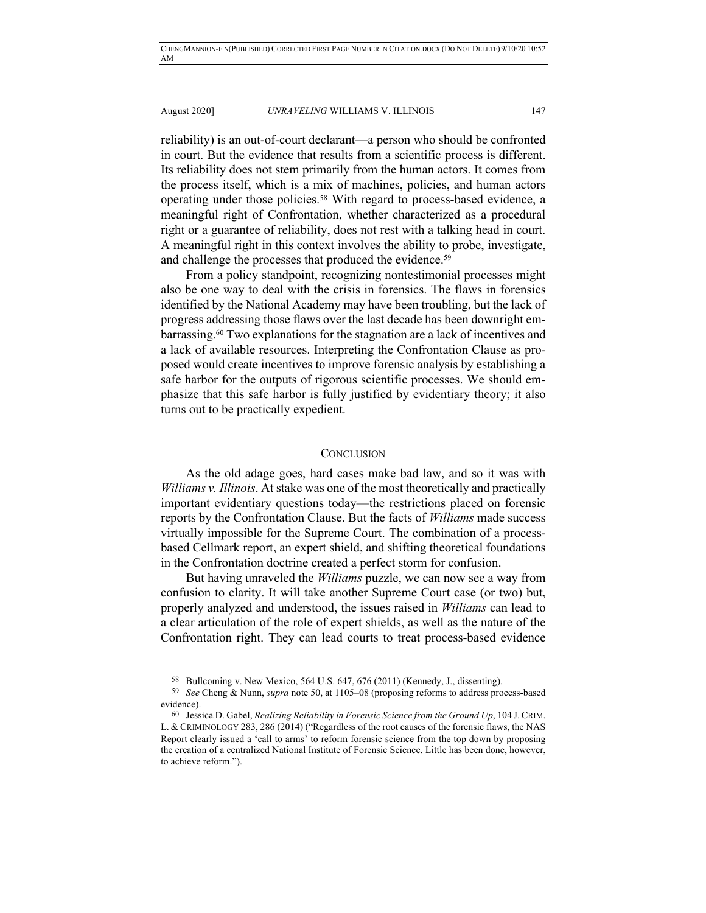reliability) is an out-of-court declarant—a person who should be confronted in court. But the evidence that results from a scientific process is different. Its reliability does not stem primarily from the human actors. It comes from the process itself, which is a mix of machines, policies, and human actors operating under those policies.58 With regard to process-based evidence, a meaningful right of Confrontation, whether characterized as a procedural right or a guarantee of reliability, does not rest with a talking head in court. A meaningful right in this context involves the ability to probe, investigate, and challenge the processes that produced the evidence.<sup>59</sup>

From a policy standpoint, recognizing nontestimonial processes might also be one way to deal with the crisis in forensics. The flaws in forensics identified by the National Academy may have been troubling, but the lack of progress addressing those flaws over the last decade has been downright embarrassing.60 Two explanations for the stagnation are a lack of incentives and a lack of available resources. Interpreting the Confrontation Clause as proposed would create incentives to improve forensic analysis by establishing a safe harbor for the outputs of rigorous scientific processes. We should emphasize that this safe harbor is fully justified by evidentiary theory; it also turns out to be practically expedient.

#### **CONCLUSION**

As the old adage goes, hard cases make bad law, and so it was with *Williams v. Illinois*. At stake was one of the most theoretically and practically important evidentiary questions today—the restrictions placed on forensic reports by the Confrontation Clause. But the facts of *Williams* made success virtually impossible for the Supreme Court. The combination of a processbased Cellmark report, an expert shield, and shifting theoretical foundations in the Confrontation doctrine created a perfect storm for confusion.

But having unraveled the *Williams* puzzle, we can now see a way from confusion to clarity. It will take another Supreme Court case (or two) but, properly analyzed and understood, the issues raised in *Williams* can lead to a clear articulation of the role of expert shields, as well as the nature of the Confrontation right. They can lead courts to treat process-based evidence

<sup>58</sup> Bullcoming v. New Mexico, 564 U.S. 647, 676 (2011) (Kennedy, J., dissenting).

<sup>59</sup> *See* Cheng & Nunn, *supra* note 50, at 1105–08 (proposing reforms to address process-based evidence).

<sup>60</sup> Jessica D. Gabel, *Realizing Reliability in Forensic Science from the Ground Up*, 104 J. CRIM. L. & CRIMINOLOGY 283, 286 (2014) ("Regardless of the root causes of the forensic flaws, the NAS Report clearly issued a 'call to arms' to reform forensic science from the top down by proposing the creation of a centralized National Institute of Forensic Science. Little has been done, however, to achieve reform.").